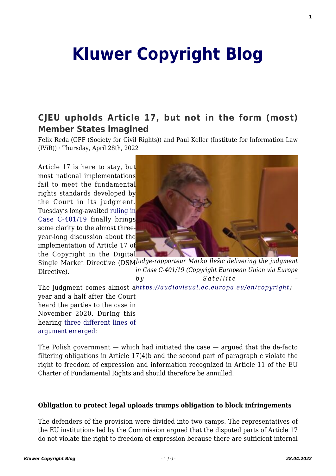# **[Kluwer Copyright Blog](http://copyrightblog.kluweriplaw.com/)**

### **[CJEU upholds Article 17, but not in the form \(most\)](http://copyrightblog.kluweriplaw.com/2022/04/28/cjeu-upholds-article-17-but-not-in-the-form-most-member-states-imagined/) [Member States imagined](http://copyrightblog.kluweriplaw.com/2022/04/28/cjeu-upholds-article-17-but-not-in-the-form-most-member-states-imagined/)**

Felix Reda (GFF (Society for Civil Rights)) and Paul Keller (Institute for Information Law (IViR)) · Thursday, April 28th, 2022

Article 17 is here to stay, but most national implementations fail to meet the fundamental rights standards developed by the Court in its judgment. Tuesday's long-awaited [ruling in](https://curia.europa.eu/juris/documents.jsf?num=C-401/19) [Case C-401/19](https://curia.europa.eu/juris/documents.jsf?num=C-401/19) finally brings some clarity to the almost threeyear-long discussion about the implementation of Article 17 of the Copyright in the Digital



Single Market Directive (DSMJudge-rapporteur Marko Ilešic delivering the judgment *in Case C-401/19 (Copyright European Union via Europe by Satellite –* Directive).

*<https://audiovisual.ec.europa.eu/en/copyright>)* The judgment comes almost a year and a half after the Court heard the parties to the case in November 2020. During this hearing [three different lines of](http://copyrightblog.kluweriplaw.com/2020/11/11/cjeu-hearing-in-the-polish-challenge-to-article-17-not-even-the-supporters-of-the-provision-agree-on-how-it-should-work/) [argument emerged:](http://copyrightblog.kluweriplaw.com/2020/11/11/cjeu-hearing-in-the-polish-challenge-to-article-17-not-even-the-supporters-of-the-provision-agree-on-how-it-should-work/)

The Polish government — which had initiated the case — argued that the de-facto filtering obligations in Article 17(4)b and the second part of paragraph c violate the right to freedom of expression and information recognized in Article 11 of the EU Charter of Fundamental Rights and should therefore be annulled.

#### **Obligation to protect legal uploads trumps obligation to block infringements**

The defenders of the provision were divided into two camps. The representatives of the EU institutions led by the Commission argued that the disputed parts of Article 17 do not violate the right to freedom of expression because there are sufficient internal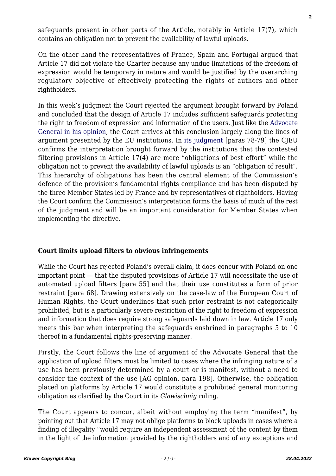safeguards present in other parts of the Article, notably in Article 17(7), which contains an obligation not to prevent the availability of lawful uploads.

On the other hand the representatives of France, Spain and Portugal argued that Article 17 did not violate the Charter because any undue limitations of the freedom of expression would be temporary in nature and would be justified by the overarching regulatory objective of effectively protecting the rights of authors and other rightholders.

In this week's judgment the Court rejected the argument brought forward by Poland and concluded that the design of Article 17 includes sufficient safeguards protecting the right to freedom of expression and information of the users. Just like the [Advocate](http://copyrightblog.kluweriplaw.com/2021/07/26/what-member-states-can-learn-from-the-ag-opinion-on-article-17/) [General in his opinion,](http://copyrightblog.kluweriplaw.com/2021/07/26/what-member-states-can-learn-from-the-ag-opinion-on-article-17/) the Court arrives at this conclusion largely along the lines of argument presented by the EU institutions. In [its judgment](https://curia.europa.eu/juris/documents.jsf?num=C-401/19) [paras 78-79] the CJEU confirms the interpretation brought forward by the institutions that the contested filtering provisions in Article 17(4) are mere "obligations of best effort" while the obligation not to prevent the availability of lawful uploads is an "obligation of result". This hierarchy of obligations has been the central element of the Commission's defence of the provision's fundamental rights compliance and has been disputed by the three Member States led by France and by representatives of rightholders. Having the Court confirm the Commission's interpretation forms the basis of much of the rest of the judgment and will be an important consideration for Member States when implementing the directive.

#### **Court limits upload filters to obvious infringements**

While the Court has rejected Poland's overall claim, it does concur with Poland on one important point — that the disputed provisions of Article 17 will necessitate the use of automated upload filters [para 55] and that their use constitutes a form of prior restraint [para 68]. Drawing extensively on the case-law of the European Court of Human Rights, the Court underlines that such prior restraint is not categorically prohibited, but is a particularly severe restriction of the right to freedom of expression and information that does require strong safeguards laid down in law. Article 17 only meets this bar when interpreting the safeguards enshrined in paragraphs 5 to 10 thereof in a fundamental rights-preserving manner.

Firstly, the Court follows the line of argument of the Advocate General that the application of upload filters must be limited to cases where the infringing nature of a use has been previously determined by a court or is manifest, without a need to consider the context of the use [AG opinion, para 198]. Otherwise, the obligation placed on platforms by Article 17 would constitute a prohibited general monitoring obligation as clarified by the Court in its *Glawischnig* ruling.

The Court appears to concur, albeit without employing the term "manifest", by pointing out that Article 17 may not oblige platforms to block uploads in cases where a finding of illegality "would require an independent assessment of the content by them in the light of the information provided by the rightholders and of any exceptions and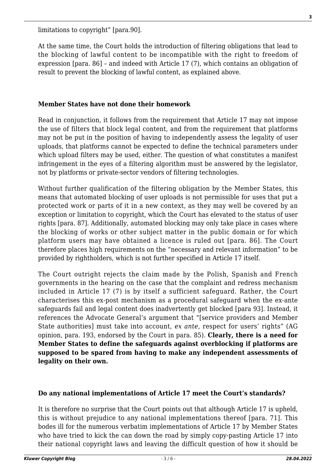limitations to copyright" [para.90].

At the same time, the Court holds the introduction of filtering obligations that lead to the blocking of lawful content to be incompatible with the right to freedom of expression [para. 86] – and indeed with Article 17 (7), which contains an obligation of result to prevent the blocking of lawful content, as explained above.

#### **Member States have not done their homework**

Read in conjunction, it follows from the requirement that Article 17 may not impose the use of filters that block legal content, and from the requirement that platforms may not be put in the position of having to independently assess the legality of user uploads, that platforms cannot be expected to define the technical parameters under which upload filters may be used, either. The question of what constitutes a manifest infringement in the eyes of a filtering algorithm must be answered by the legislator, not by platforms or private-sector vendors of filtering technologies.

Without further qualification of the filtering obligation by the Member States, this means that automated blocking of user uploads is not permissible for uses that put a protected work or parts of it in a new context, as they may well be covered by an exception or limitation to copyright, which the Court has elevated to the status of user rights [para. 87]. Additionally, automated blocking may only take place in cases where the blocking of works or other subject matter in the public domain or for which platform users may have obtained a licence is ruled out [para. 86]. The Court therefore places high requirements on the "necessary and relevant information" to be provided by rightholders, which is not further specified in Article 17 itself.

The Court outright rejects the claim made by the Polish, Spanish and French governments in the hearing on the case that the complaint and redress mechanism included in Article 17 (7) is by itself a sufficient safeguard. Rather, the Court characterises this ex-post mechanism as a procedural safeguard when the ex-ante safeguards fail and legal content does inadvertently get blocked [para 93]. Instead, it references the Advocate General's argument that "[service providers and Member State authorities] must take into account, *ex ante*, respect for users' rights" (AG opinion, para. 193, endorsed by the Court in para. 85). **Clearly, there is a need for Member States to define the safeguards against overblocking if platforms are supposed to be spared from having to make any independent assessments of legality on their own.**

#### **Do any national implementations of Article 17 meet the Court's standards?**

It is therefore no surprise that the Court points out that although Article 17 is upheld, this is without prejudice to any national implementations thereof [para. 71]. This bodes ill for the numerous verbatim implementations of Article 17 by Member States who have tried to kick the can down the road by simply copy-pasting Article 17 into their national copyright laws and leaving the difficult question of how it should be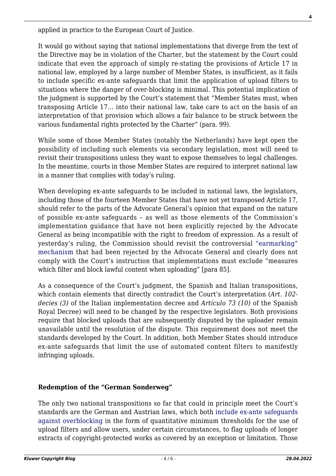applied in practice to the European Court of Justice.

It would go without saying that national implementations that diverge from the text of the Directive may be in violation of the Charter, but the statement by the Court could indicate that even the approach of simply re-stating the provisions of Article 17 in national law, employed by a large number of Member States, is insufficient, as it fails to include specific ex-ante safeguards that limit the application of upload filters to situations where the danger of over-blocking is minimal. This potential implication of the judgment is supported by the Court's statement that "Member States must, when transposing Article 17… into their national law, take care to act on the basis of an interpretation of that provision which allows a fair balance to be struck between the various fundamental rights protected by the Charter" (para. 99).

While some of those Member States (notably the Netherlands) have kept open the possibility of including such elements via secondary legislation, most will need to revisit their transpositions unless they want to expose themselves to legal challenges. In the meantime, courts in those Member States are required to interpret national law in a manner that complies with today's ruling.

When developing ex-ante safeguards to be included in national laws, the legislators, including those of the fourteen Member States that have not yet transposed Article 17, should refer to the parts of the Advocate General's opinion that expand on the nature of possible ex-ante safeguards – as well as those elements of the Commission's implementation guidance that have not been explicitly rejected by the Advocate General as being incompatible with the right to freedom of expression. As a result of yesterday's ruling, the Commission should revisit the controversial ["earmarking"](http://copyrightblog.kluweriplaw.com/2021/06/04/european-commission-back-tracks-on-user-rights-in-article-17-guidance/) [mechanism](http://copyrightblog.kluweriplaw.com/2021/06/04/european-commission-back-tracks-on-user-rights-in-article-17-guidance/) that had been rejected by the Advocate General and clearly does not comply with the Court's instruction that implementations must exclude "measures which filter and block lawful content when uploading" [para 85].

As a consequence of the Court's judgment, the Spanish and Italian transpositions, which contain elements that directly contradict the Court's interpretation (*Art. 102 decies (3)* of the Italian implementation decree and *Artículo 73 (10)* of the Spanish Royal Decree) will need to be changed by the respective legislators. Both provisions require that blocked uploads that are subsequently disputed by the uploader remain unavailable until the resolution of the dispute. This requirement does not meet the standards developed by the Court. In addition, both Member States should introduce ex-ante safeguards that limit the use of automated content filters to manifestly infringing uploads.

#### **Redemption of the "German Sonderweg"**

The only two national transpositions so far that could in principle meet the Court's standards are the German and Austrian laws, which both [include ex-ante safeguards](http://copyrightblog.kluweriplaw.com/2022/01/24/article-17-the-year-in-review-2021-edition/) [against overblocking](http://copyrightblog.kluweriplaw.com/2022/01/24/article-17-the-year-in-review-2021-edition/) in the form of quantitative minimum thresholds for the use of upload filters and allow users, under certain circumstances, to flag uploads of longer extracts of copyright-protected works as covered by an exception or limitation. Those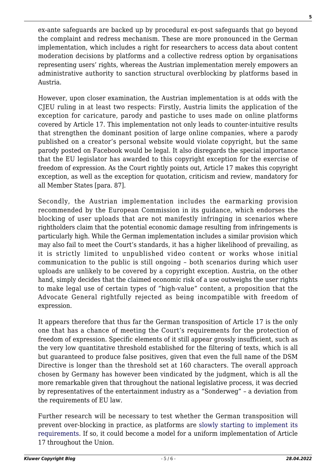ex-ante safeguards are backed up by procedural ex-post safeguards that go beyond the complaint and redress mechanism. These are more pronounced in the German implementation, which includes a right for researchers to access data about content moderation decisions by platforms and a collective redress option by organisations representing users' rights, whereas the Austrian implementation merely empowers an administrative authority to sanction structural overblocking by platforms based in Austria.

However, upon closer examination, the Austrian implementation is at odds with the CJEU ruling in at least two respects: Firstly, Austria limits the application of the exception for caricature, parody and pastiche to uses made on online platforms covered by Article 17. This implementation not only leads to counter-intuitive results that strengthen the dominant position of large online companies, where a parody published on a creator's personal website would violate copyright, but the same parody posted on Facebook would be legal. It also disregards the special importance that the EU legislator has awarded to this copyright exception for the exercise of freedom of expression. As the Court rightly points out, Article 17 makes this copyright exception, as well as the exception for quotation, criticism and review, mandatory for all Member States [para. 87].

Secondly, the Austrian implementation includes the earmarking provision recommended by the European Commission in its guidance, which endorses the blocking of user uploads that are not manifestly infringing in scenarios where rightholders claim that the potential economic damage resulting from infringements is particularly high. While the German implementation includes a similar provision which may also fail to meet the Court's standards, it has a higher likelihood of prevailing, as it is strictly limited to unpublished video content or works whose initial communication to the public is still ongoing – both scenarios during which user uploads are unlikely to be covered by a copyright exception. Austria, on the other hand, simply decides that the claimed economic risk of a use outweighs the user rights to make legal use of certain types of "high-value" content, a proposition that the Advocate General rightfully rejected as being incompatible with freedom of expression.

It appears therefore that thus far the German transposition of Article 17 is the only one that has a chance of meeting the Court's requirements for the protection of freedom of expression. Specific elements of it still appear grossly insufficient, such as the very low quantitative threshold established for the filtering of texts, which is all but guaranteed to produce false positives, given that even the full name of the DSM Directive is longer than the threshold set at 160 characters. The overall approach chosen by Germany has however been vindicated by the judgment, which is all the more remarkable given that throughout the national legislative process, it was decried by representatives of the entertainment industry as a "Sonderweg" – a deviation from the requirements of EU law.

Further research will be necessary to test whether the German transposition will prevent over-blocking in practice, as platforms are [slowly starting to implement its](https://zenodo.org/record/5865619#.YmFVLJLP0n1) [requirements.](https://zenodo.org/record/5865619#.YmFVLJLP0n1) If so, it could become a model for a uniform implementation of Article 17 throughout the Union.